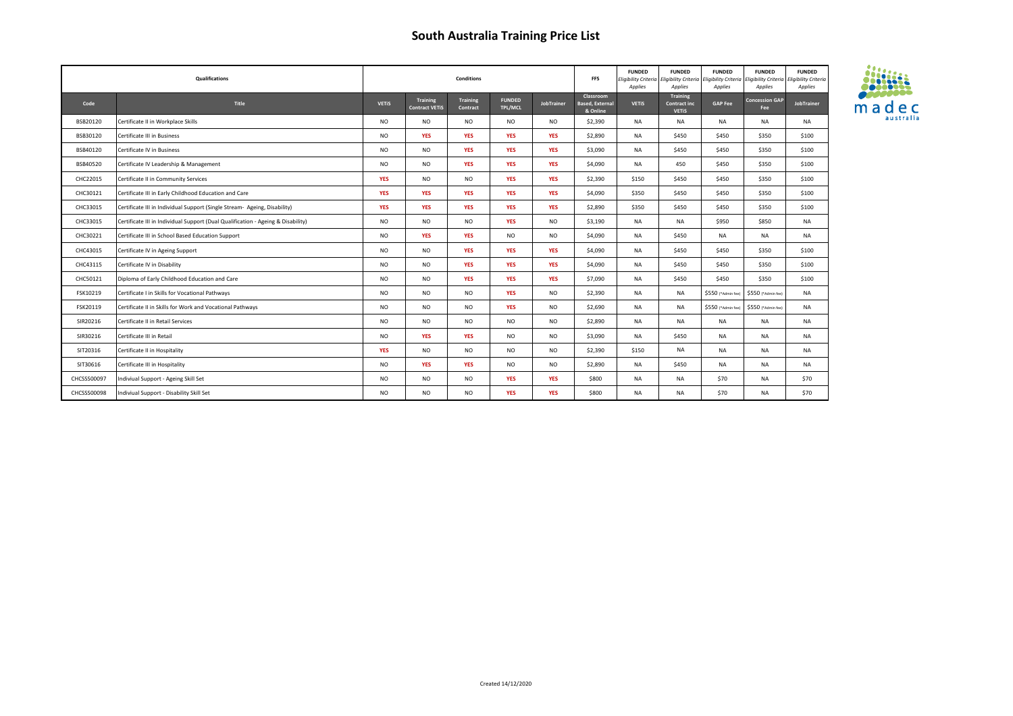| Qualifications |                                                                                  |                | <b>Conditions</b>                 |                             |                          |                   |                                                 | <b>FUNDED</b><br>Applies | <b>FUNDED</b><br>Eligibility Criteria Eligibility Criteria Eligibility Criteria Eligibility Criteria E<br>Applies | <b>FUNDED</b><br>Applies | <b>FUNDED</b><br>Applies     | <b>FUNDED</b><br>ligibility Criteria<br>Applies |
|----------------|----------------------------------------------------------------------------------|----------------|-----------------------------------|-----------------------------|--------------------------|-------------------|-------------------------------------------------|--------------------------|-------------------------------------------------------------------------------------------------------------------|--------------------------|------------------------------|-------------------------------------------------|
| Code           | Title                                                                            | <b>VETIS</b>   | Training<br><b>Contract VETIS</b> | <b>Training</b><br>Contract | <b>FUNDED</b><br>TPL/MCL | <b>JobTrainer</b> | Classroom<br><b>Based, External</b><br>& Online | <b>VETIS</b>             | Training<br>Contract inc<br><b>VETIS</b>                                                                          | <b>GAP Fee</b>           | <b>Concession GAP</b><br>Fee | JobTrainer                                      |
| BSB20120       | Certificate II in Workplace Skills                                               | <b>NO</b>      | <b>NO</b>                         | <b>NO</b>                   | <b>NO</b>                | <b>NO</b>         | \$2,390                                         | <b>NA</b>                | <b>NA</b>                                                                                                         | <b>NA</b>                | <b>NA</b>                    | <b>NA</b>                                       |
| BSB30120       | Certificate III in Business                                                      | <b>NO</b>      | <b>YES</b>                        | <b>YES</b>                  | <b>YES</b>               | <b>YES</b>        | \$2,890                                         | NA                       | \$450                                                                                                             | \$450                    | \$350                        | \$100                                           |
| BSB40120       | Certificate IV in Business                                                       | <b>NO</b>      | <b>NO</b>                         | <b>YES</b>                  | <b>YES</b>               | <b>YES</b>        | \$3,090                                         | NA                       | \$450                                                                                                             | \$450                    | \$350                        | \$100                                           |
| BSB40520       | Certificate IV Leadership & Management                                           | <b>NO</b>      | <b>NO</b>                         | <b>YES</b>                  | <b>YES</b>               | <b>YES</b>        | \$4,090                                         | <b>NA</b>                | 450                                                                                                               | \$450                    | \$350                        | \$100                                           |
| CHC22015       | Certificate II in Community Services                                             | <b>YES</b>     | <b>NO</b>                         | <b>NO</b>                   | <b>YES</b>               | <b>YES</b>        | \$2,390                                         | \$150                    | \$450                                                                                                             | \$450                    | \$350                        | \$100                                           |
| CHC30121       | Certificate III in Early Childhood Education and Care                            | <b>YES</b>     | <b>YES</b>                        | <b>YES</b>                  | <b>YES</b>               | <b>YES</b>        | \$4,090                                         | \$350                    | \$450                                                                                                             | \$450                    | \$350                        | \$100                                           |
| CHC33015       | Certificate III in Individual Support (Single Stream- Ageing, Disability)        | <b>YES</b>     | <b>YES</b>                        | <b>YES</b>                  | <b>YES</b>               | <b>YES</b>        | \$2,890                                         | \$350                    | \$450                                                                                                             | \$450                    | \$350                        | \$100                                           |
| CHC33015       | Certificate III in Individual Support (Dual Qualification - Ageing & Disability) | <b>NO</b>      | <b>NO</b>                         | <b>NO</b>                   | <b>YES</b>               | <b>NO</b>         | \$3,190                                         | NA                       | <b>NA</b>                                                                                                         | \$950                    | \$850                        | <b>NA</b>                                       |
| CHC30221       | Certificate III in School Based Education Support                                | <b>NO</b>      | <b>YES</b>                        | <b>YES</b>                  | <b>NO</b>                | <b>NO</b>         | \$4,090                                         | NA                       | \$450                                                                                                             | <b>NA</b>                | <b>NA</b>                    | <b>NA</b>                                       |
| CHC43015       | Certificate IV in Ageing Support                                                 | <b>NO</b>      | <b>NO</b>                         | <b>YES</b>                  | <b>YES</b>               | <b>YES</b>        | \$4,090                                         | NA                       | \$450                                                                                                             | \$450                    | \$350                        | \$100                                           |
| CHC43115       | Certificate IV in Disability                                                     | <b>NO</b>      | <b>NO</b>                         | <b>YES</b>                  | <b>YES</b>               | <b>YES</b>        | \$4,090                                         | <b>NA</b>                | \$450                                                                                                             | \$450                    | \$350                        | \$100                                           |
| CHC50121       | Diploma of Early Childhood Education and Care                                    | <b>NO</b>      | <b>NO</b>                         | <b>YES</b>                  | <b>YES</b>               | <b>YES</b>        | \$7,090                                         | <b>NA</b>                | \$450                                                                                                             | \$450                    | \$350                        | \$100                                           |
| FSK10219       | Certificate I in Skills for Vocational Pathways                                  | <b>NO</b>      | <b>NO</b>                         | <b>NO</b>                   | <b>YES</b>               | <b>NO</b>         | \$2,390                                         | NA                       | <b>NA</b>                                                                                                         | \$550 (*Admin fee)       | \$550 (*Admin fee)           | <b>NA</b>                                       |
| FSK20119       | Certificate II in Skills for Work and Vocational Pathways                        | <b>NO</b>      | <b>NO</b>                         | <b>NO</b>                   | <b>YES</b>               | <b>NO</b>         | \$2,690                                         | NA                       | <b>NA</b>                                                                                                         | \$550 (*Admin fee)       | \$550 (*Admin fee)           | <b>NA</b>                                       |
| SIR20216       | Certificate II in Retail Services                                                | <b>NO</b>      | <b>NO</b>                         | <b>NO</b>                   | <b>NO</b>                | <b>NO</b>         | \$2,890                                         | NA                       | <b>NA</b>                                                                                                         | <b>NA</b>                | <b>NA</b>                    | <b>NA</b>                                       |
| SIR30216       | Certificate III in Retail                                                        | <b>NO</b>      | <b>YES</b>                        | <b>YES</b>                  | <b>NO</b>                | <b>NO</b>         | \$3,090                                         | NA                       | \$450                                                                                                             | <b>NA</b>                | <b>NA</b>                    | <b>NA</b>                                       |
| SIT20316       | Certificate II in Hospitality                                                    | <b>YES</b>     | <b>NO</b>                         | <b>NO</b>                   | <b>NO</b>                | <b>NO</b>         | \$2,390                                         | \$150                    | <b>NA</b>                                                                                                         | <b>NA</b>                | <b>NA</b>                    | <b>NA</b>                                       |
| SIT30616       | Certificate III in Hospitality                                                   | <b>NO</b>      | <b>YES</b>                        | <b>YES</b>                  | <b>NO</b>                | <b>NO</b>         | \$2,890                                         | NA                       | \$450                                                                                                             | <b>NA</b>                | <b>NA</b>                    | <b>NA</b>                                       |
| CHCSSS00097    | Indiviual Support - Ageing Skill Set                                             | <b>NO</b>      | <b>NO</b>                         | <b>NO</b>                   | <b>YES</b>               | <b>YES</b>        | \$800                                           | <b>NA</b>                | <b>NA</b>                                                                                                         | \$70                     | <b>NA</b>                    | \$70                                            |
| CHCSSS00098    | Indiviual Support - Disability Skill Set                                         | N <sub>O</sub> | <b>NO</b>                         | NO.                         | <b>YES</b>               | <b>YES</b>        | \$800                                           | <b>NA</b>                | <b>NA</b>                                                                                                         | \$70                     | <b>NA</b>                    | \$70                                            |